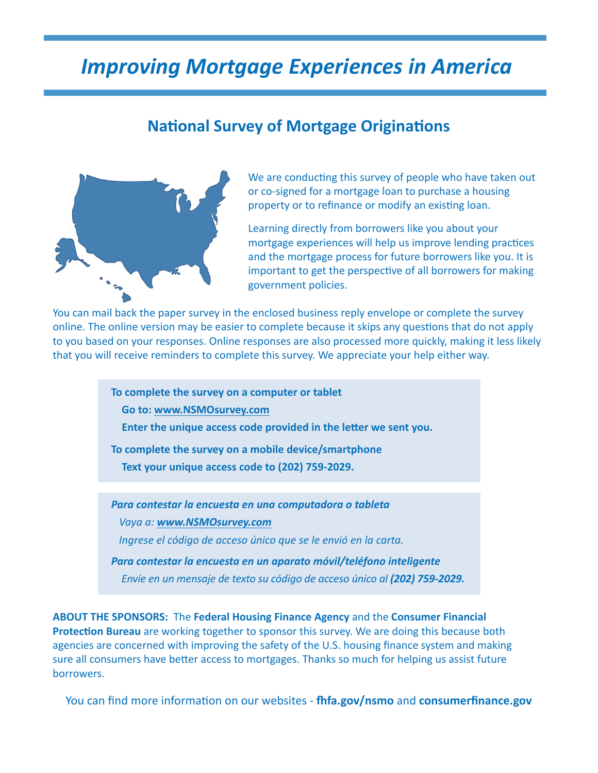# *Improving Mortgage Experiences in America*

### **National Survey of Mortgage Originations**



We are conducting this survey of people who have taken out or co-signed for a mortgage loan to purchase a housing property or to refinance or modify an existing loan.

Learning directly from borrowers like you about your mortgage experiences will help us improve lending practices and the mortgage process for future borrowers like you. It is important to get the perspective of all borrowers for making government policies.

You can mail back the paper survey in the enclosed business reply envelope or complete the survey online. The online version may be easier to complete because it skips any questions that do not apply to you based on your responses. Online responses are also processed more quickly, making it less likely that you will receive reminders to complete this survey. We appreciate your help either way.

> **To complete the survey on a computer or tablet Go to: www.NSMOsurvey.com Enter the unique access code provided in the letter we sent you.**

**To complete the survey on a mobile device/smartphone**

 **Text your unique access code to (202) 759-2029.**

*Para contestar la encuesta en una computadora o tableta* *Vaya a: www.NSMOsurvey.com Ingrese el código de acceso único que se le envió en la carta.*

*Para contestar la encuesta en un aparato móvil/teléfono inteligente Envíe en un mensaje de texto su código de acceso único al (202) 759-2029.*

**ABOUT THE SPONSORS:** The **Federal Housing Finance Agency** and the **Consumer Financial Protection Bureau** are working together to sponsor this survey. We are doing this because both agencies are concerned with improving the safety of the U.S. housing finance system and making sure all consumers have better access to mortgages. Thanks so much for helping us assist future borrowers.

You can find more information on our websites - **fhfa.gov/nsmo** and **consumerfinance.gov**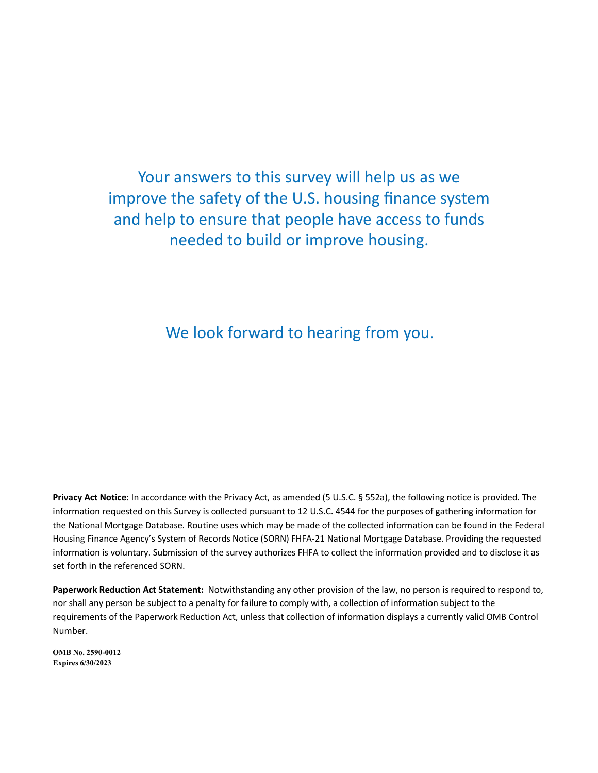## Your answers to this survey will help us as we Your answers to this survey will help us as we Your answers to this survey will help us as we Your answers to this survey will help us as we<br>improve the safety of the U.S. housing finance system and help to ensure that people have access to funds and help to ensure that people have access to funds and help to ensure that people have access to funds needed to build or improve housing. needed to build or improve housing. needed to build or improve housing.

We look forward to hearing from you.

Privacy Act Notice: In accordance with the Privacy Act, as amended (5 U.S.C. § 552a), the following notice is provided. The information requested on this Survey is collected pursuant to 12 U.S.C. 4544 for the purposes of gathering information for the National Mortgage Database. Routine uses which may be made of the collected information can be found in the Federal Housing Finance Agency's System of Records Notice (SORN) FHFA-21 National Mortgage Database. Providing the requested information is voluntary. Submission of the survey authorizes FHFA to collect the information provided and to disclose it as set forth in the referenced SORN. set forth in the referenced SORN.

Paperwork Reduction Act Statement: Notwithstanding any other provision of the law, no person is required to respond to, nor shall any person be subject to a penalty for failure to comply with, a collection of information subject to the requirements of the Paperwork Reduction Act, unless that collection of information displays a currently valid OMB Control Number. Number.

**OMB No. 2590-0012 OMB No. 2590-0012 Expires 6/30/2023 Expires 4/30/20 Expires 6/30/2023**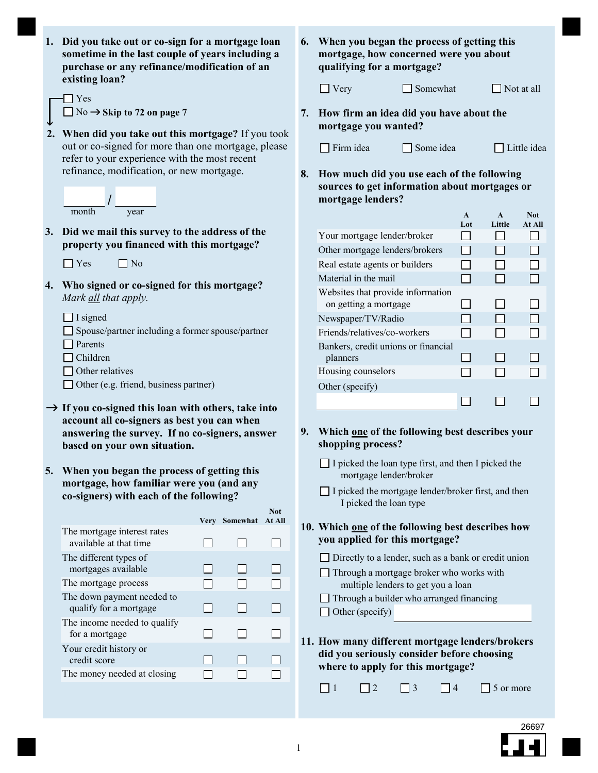- **Did you take out or co-sign for a mortgage loan 1. sometime in the last couple of years including a purchase or any refinance/modification of an existing loan?**
	- $\neg$  Yes  $\Box$  No  $\rightarrow$  Skip to 72 on page 7
- $\downarrow$ **2. When did you take out this mortgage?** If you took out or co-signed for more than one mortgage, please refer to your experience with the most recent refinance, modification, or new mortgage.



**Did we mail this survey to the address of the 3. property you financed with this mortgage?**



- **Who signed or co-signed for this mortgage? 4.** *Mark all that apply.*
	- $\Box$  I signed
	- $\Box$  Spouse/partner including a former spouse/partner
	- □ Parents
	- □ Children
	- $\Box$  Other relatives
	- □ Other (e.g. friend, business partner)
- **If you co-signed this loan with others, take into account all co-signers as best you can when answering the survey. If no co-signers, answer based on your own situation.**
- **When you began the process of getting this 5. mortgage, how familiar were you (and any co-signers) with each of the following?**

|                                                       | Very | Somewhat | Not<br>At All |
|-------------------------------------------------------|------|----------|---------------|
| The mortgage interest rates<br>available at that time |      |          |               |
| The different types of<br>mortgages available         |      |          |               |
| The mortgage process                                  |      |          |               |
| The down payment needed to<br>qualify for a mortgage  |      |          |               |
| The income needed to qualify<br>for a mortgage        |      |          |               |
| Your credit history or<br>credit score                |      |          |               |
| The money needed at closing                           |      |          |               |
|                                                       |      |          |               |

**When you began the process of getting this 6. mortgage, how concerned were you about qualifying for a mortgage?**

| $\Box$ Very | Somewha |
|-------------|---------|
|             |         |

It  $\Box$  Not at all

**How firm an idea did you have about the 7. mortgage you wanted?**

| Firm idea | $\Box$ Some |
|-----------|-------------|
|-----------|-------------|

 $idea$   $\Box$  Little idea

**How much did you use each of the following 8. sources to get information about mortgages or mortgage lenders?**

|                                     | $\mathbf{A}$ | $\Delta$ | <b>Not</b> |
|-------------------------------------|--------------|----------|------------|
|                                     | Lot          | Little   | At All     |
| Your mortgage lender/broker         |              |          |            |
| Other mortgage lenders/brokers      |              |          |            |
| Real estate agents or builders      |              |          |            |
| Material in the mail                |              |          |            |
| Websites that provide information   |              |          |            |
| on getting a mortgage               |              |          |            |
| Newspaper/TV/Radio                  |              |          |            |
| Friends/relatives/co-workers        |              |          |            |
| Bankers, credit unions or financial |              |          |            |
| planners                            |              |          |            |
| Housing counselors                  |              |          |            |
| Other (specify)                     |              |          |            |
|                                     |              |          |            |

- **Which one of the following best describes your 9. shopping process?**
	- mortgage lender/broker  $\Box$  I picked the loan type first, and then I picked the
	- I picked the loan type I picked the mortgage lender/broker first, and then
- **Which one of the following best describes how 10. you applied for this mortgage?**
	- Directly to a lender, such as a bank or credit union
	- Through a mortgage broker who works with multiple lenders to get you a loan
	- Through a builder who arranged financing
	- $\Box$  Other (specify)
- **How many different mortgage lenders/brokers 11. did you seriously consider before choosing where to apply for this mortgage?**

 $\Box$  1  $\Box$  2  $\Box$  3  $\Box$  4  $\Box$  5 or more

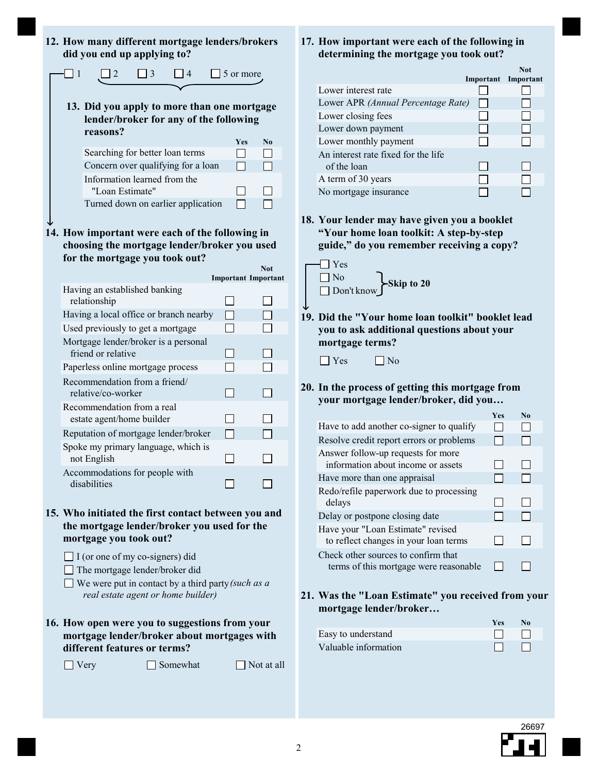|     | 12. How many different mortgage lenders/brokers<br>did you end up applying to?                                                                                                                                                                                                                                     |                 |   |          |  |           |                                          | 17. |
|-----|--------------------------------------------------------------------------------------------------------------------------------------------------------------------------------------------------------------------------------------------------------------------------------------------------------------------|-----------------|---|----------|--|-----------|------------------------------------------|-----|
| l 1 |                                                                                                                                                                                                                                                                                                                    | 2               | 3 | 4        |  | 5 or more |                                          |     |
|     |                                                                                                                                                                                                                                                                                                                    |                 |   |          |  |           |                                          |     |
|     | 13. Did you apply to more than one mortgage<br>lender/broker for any of the following<br>reasons?                                                                                                                                                                                                                  |                 |   |          |  | Yes       | No                                       |     |
|     | Searching for better loan terms                                                                                                                                                                                                                                                                                    |                 |   |          |  |           |                                          |     |
|     | Concern over qualifying for a loan                                                                                                                                                                                                                                                                                 |                 |   |          |  |           |                                          |     |
|     | Information learned from the                                                                                                                                                                                                                                                                                       | "Loan Estimate" |   |          |  |           |                                          |     |
|     | Turned down on earlier application                                                                                                                                                                                                                                                                                 |                 |   |          |  |           |                                          |     |
|     |                                                                                                                                                                                                                                                                                                                    |                 |   |          |  |           |                                          | 18. |
|     | 14. How important were each of the following in<br>choosing the mortgage lender/broker you used<br>for the mortgage you took out?                                                                                                                                                                                  |                 |   |          |  |           |                                          |     |
|     |                                                                                                                                                                                                                                                                                                                    |                 |   |          |  |           | <b>Not</b><br><b>Important Important</b> |     |
|     | Having an established banking<br>relationship                                                                                                                                                                                                                                                                      |                 |   |          |  |           |                                          |     |
|     | Having a local office or branch nearby                                                                                                                                                                                                                                                                             |                 |   |          |  |           |                                          | 19. |
|     | Used previously to get a mortgage                                                                                                                                                                                                                                                                                  |                 |   |          |  |           |                                          |     |
|     | Mortgage lender/broker is a personal<br>friend or relative                                                                                                                                                                                                                                                         |                 |   |          |  |           |                                          |     |
|     | Paperless online mortgage process                                                                                                                                                                                                                                                                                  |                 |   |          |  |           |                                          |     |
|     | Recommendation from a friend/<br>relative/co-worker                                                                                                                                                                                                                                                                |                 |   |          |  |           |                                          | 20. |
|     | Recommendation from a real<br>estate agent/home builder                                                                                                                                                                                                                                                            |                 |   |          |  |           |                                          |     |
|     | Reputation of mortgage lender/broker                                                                                                                                                                                                                                                                               |                 |   |          |  |           |                                          |     |
|     | Spoke my primary language, which is<br>not English                                                                                                                                                                                                                                                                 |                 |   |          |  |           |                                          |     |
|     | Accommodations for people with<br>disabilities                                                                                                                                                                                                                                                                     |                 |   |          |  |           |                                          |     |
|     | 15. Who initiated the first contact between you and<br>the mortgage lender/broker you used for the<br>mortgage you took out?<br>$\Box$ I (or one of my co-signers) did<br>$\Box$ The mortgage lender/broker did<br>$\Box$ We were put in contact by a third party (such as a<br>real estate agent or home builder) |                 |   |          |  |           |                                          | 21. |
|     | 16. How open were you to suggestions from your<br>mortgage lender/broker about mortgages with<br>different features or terms?                                                                                                                                                                                      |                 |   |          |  |           |                                          |     |
|     | Very                                                                                                                                                                                                                                                                                                               |                 |   | Somewhat |  |           | Not at all                               |     |
|     |                                                                                                                                                                                                                                                                                                                    |                 |   |          |  |           |                                          |     |

#### **17. How important were each of the following in determining the mortgage you took out?**

|                                     | Important Important | <b>Not</b> |
|-------------------------------------|---------------------|------------|
| Lower interest rate                 |                     |            |
| Lower APR (Annual Percentage Rate)  |                     |            |
| Lower closing fees                  |                     |            |
| Lower down payment                  |                     |            |
| Lower monthly payment               |                     |            |
| An interest rate fixed for the life |                     |            |
| of the loan                         |                     |            |
| A term of 30 years                  |                     |            |
| No mortgage insurance               |                     |            |

**Your lender may have given you a booklet "Your home loan toolkit: A step-by-step guide," do you remember receiving a copy?**



**Did the "Your home loan toolkit" booklet lead you to ask additional questions about your mortgage terms? 19.**

| $\Box$ Yes | $\Box$ No |
|------------|-----------|
|------------|-----------|

**20. In the process of getting this mortgage from your mortgage lender/broker, did you…**

|                                                                               | Ves | No |  |
|-------------------------------------------------------------------------------|-----|----|--|
| Have to add another co-signer to qualify                                      |     |    |  |
| Resolve credit report errors or problems                                      |     |    |  |
| Answer follow-up requests for more<br>information about income or assets      |     |    |  |
| Have more than one appraisal                                                  |     |    |  |
| Redo/refile paperwork due to processing<br>delays                             |     |    |  |
| Delay or postpone closing date                                                |     |    |  |
| Have your "Loan Estimate" revised<br>to reflect changes in your loan terms    |     |    |  |
| Check other sources to confirm that<br>terms of this mortgage were reasonable |     |    |  |

**21. Was the "Loan Estimate" you received from your mortgage lender/broker…**

|                      | <b>Yes</b>     | No.                      |
|----------------------|----------------|--------------------------|
| Easy to understand   | and the film   |                          |
| Valuable information | $\blacksquare$ | <b>Contract Contract</b> |

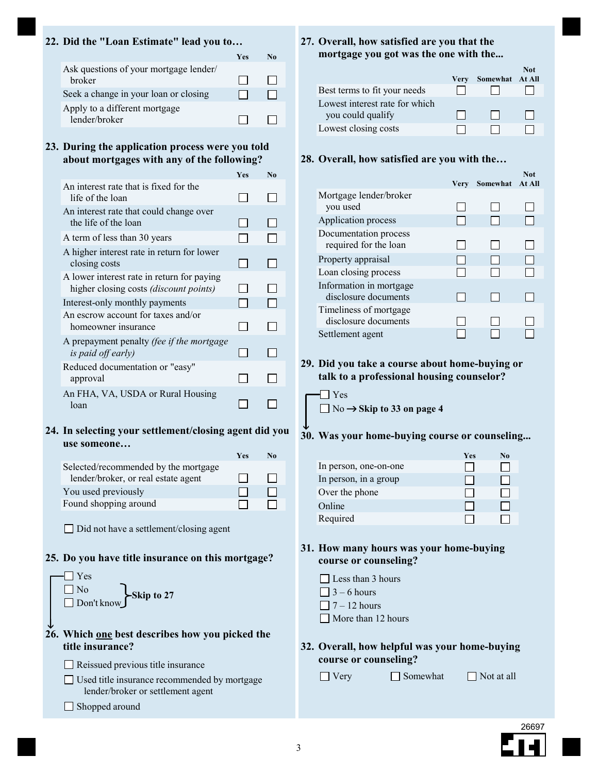#### **22. Did the "Loan Estimate" lead you to…**

|                                                         | <b>Yes</b> |  |
|---------------------------------------------------------|------------|--|
| Ask questions of your mortgage lender/<br><b>broker</b> |            |  |
| Seek a change in your loan or closing                   |            |  |
| Apply to a different mortgage<br>lender/broker          |            |  |

**During the application process were you told 23. about mortgages with any of the following?**

|                                                                                             | Ves | No |
|---------------------------------------------------------------------------------------------|-----|----|
| An interest rate that is fixed for the<br>life of the loan                                  |     |    |
| An interest rate that could change over<br>the life of the loan                             |     |    |
| A term of less than 30 years                                                                |     |    |
| A higher interest rate in return for lower<br>closing costs                                 |     |    |
| A lower interest rate in return for paying<br>higher closing costs <i>(discount points)</i> |     |    |
| Interest-only monthly payments                                                              |     |    |
| An escrow account for taxes and/or<br>homeowner insurance                                   |     |    |
| A prepayment penalty (fee if the mortgage<br>is paid off early)                             |     |    |
| Reduced documentation or "easy"<br>approval                                                 |     |    |
| An FHA, VA, USDA or Rural Housing<br>loan                                                   |     |    |

**In selecting your settlement/closing agent did you 24. use someone…**

|                                      | <b>Yes</b> | No |
|--------------------------------------|------------|----|
| Selected/recommended by the mortgage |            |    |
| lender/broker, or real estate agent  |            |    |
| You used previously                  |            |    |
| Found shopping around                |            |    |

Did not have a settlement/closing agent

#### **25. Do you have title insurance on this mortgage?**



- □ Used title insurance recommended by mortgage lender/broker or settlement agent
- Shopped around

#### **27. Overall, how satisfied are you that the mortgage you got was the one with the...**

|                                |      |                 | <b>Not</b> |
|--------------------------------|------|-----------------|------------|
|                                | Verv | Somewhat At All |            |
| Best terms to fit your needs   |      |                 |            |
| Lowest interest rate for which |      |                 |            |
| you could qualify              |      |                 |            |
| Lowest closing costs           |      |                 |            |

#### **28. Overall, how satisfied are you with the…**

|                                                 | Very | Somewhat | Not<br>At All |
|-------------------------------------------------|------|----------|---------------|
| Mortgage lender/broker                          |      |          |               |
| you used                                        |      |          |               |
| Application process                             |      |          |               |
| Documentation process<br>required for the loan  |      |          |               |
| Property appraisal                              |      |          |               |
| Loan closing process                            |      |          |               |
| Information in mortgage<br>disclosure documents |      |          |               |
| Timeliness of mortgage<br>disclosure documents  |      |          |               |
| Settlement agent                                |      |          |               |

#### **Did you take a course about home-buying or 29. talk to a professional housing counselor?**



No **Skip to 33 on page 4**

#### $\downarrow$ **30. Was your home-buying course or counseling...**

|                       | Yes | No |
|-----------------------|-----|----|
| In person, one-on-one |     |    |
| In person, in a group |     |    |
| Over the phone        |     |    |
| Online                |     |    |
| Required              |     |    |

#### **31. How many hours was your home-buying course or counseling?**

- $\Box$  Less than 3 hours
- $\Box$  3 6 hours
- $\Box$  7 12 hours
- $\Box$  More than 12 hours

#### **32. Overall, how helpful was your home-buying course or counseling?**

 $\Box$  Very  $\Box$  Somewhat  $\Box$  Not at all

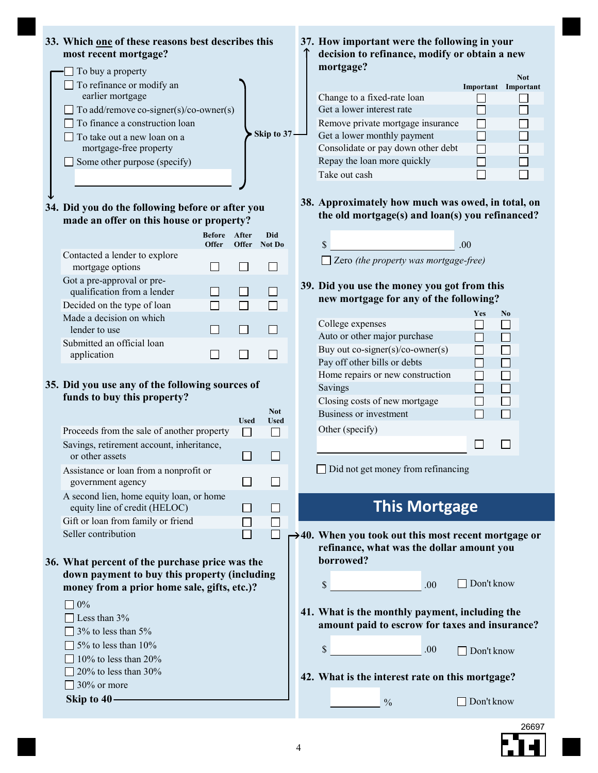

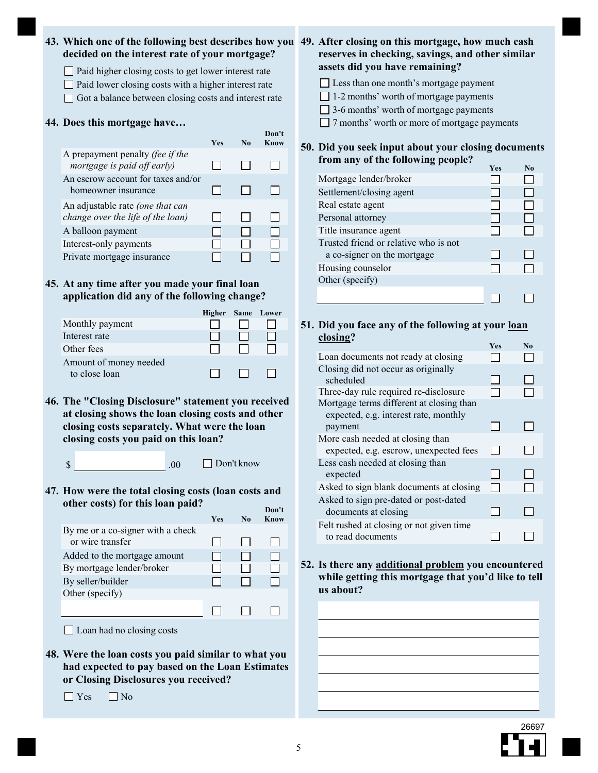#### **43. Which one of the following best describes how you 49. After closing on this mortgage, how much cash decided on the interest rate of your mortgage?**

- $\Box$  Paid higher closing costs to get lower interest rate
- $\Box$  Paid lower closing costs with a higher interest rate
- Got a balance between closing costs and interest rate

#### **44. Does this mortgage have…**

|                                                                       | <b>Yes</b> | $\mathbf{N}\mathbf{0}$ | Don't<br>Know |
|-----------------------------------------------------------------------|------------|------------------------|---------------|
| A prepayment penalty (fee if the<br>mortgage is paid off early)       |            |                        |               |
| An escrow account for taxes and/or<br>homeowner insurance             |            |                        |               |
| An adjustable rate (one that can<br>change over the life of the loan) |            |                        |               |
| A balloon payment                                                     |            |                        |               |
| Interest-only payments                                                |            |                        |               |
| Private mortgage insurance                                            |            |                        |               |
|                                                                       |            |                        |               |

#### **At any time after you made your final loan 45. application did any of the following change?**

|                                         | Higher Same Lower |  |
|-----------------------------------------|-------------------|--|
| Monthly payment                         |                   |  |
| Interest rate                           |                   |  |
| Other fees                              |                   |  |
| Amount of money needed<br>to close loan |                   |  |

**46. The "Closing Disclosure" statement you received at closing shows the loan closing costs and other closing costs separately. What were the loan closing costs you paid on this loan?**

 $.00$  Don't know

**47. How were the total closing costs (loan costs and other costs) for this loan paid? Don't**

|                                   | <b>Yes</b> | No | Know |
|-----------------------------------|------------|----|------|
| By me or a co-signer with a check |            |    |      |
| or wire transfer                  |            |    |      |
| Added to the mortgage amount      |            |    |      |
| By mortgage lender/broker         |            |    |      |
| By seller/builder                 |            |    |      |
| Other (specify)                   |            |    |      |
|                                   |            |    |      |

 $\Box$  Loan had no closing costs

**48. Were the loan costs you paid similar to what you had expected to pay based on the Loan Estimates or Closing Disclosures you received?**

 $\Box$  Yes  $\Box$  No

**reserves in checking, savings, and other similar assets did you have remaining?**

- Less than one month's mortgage payment
- □ 1-2 months' worth of mortgage payments
- $\Box$  3-6 months' worth of mortgage payments

□ 7 months' worth or more of mortgage payments

#### **Did you seek input about your closing documents 50. from any of the following people?**

|                                       |  | Yes | N <sub>0</sub> |
|---------------------------------------|--|-----|----------------|
| Mortgage lender/broker                |  |     |                |
| Settlement/closing agent              |  |     |                |
| Real estate agent                     |  |     |                |
| Personal attorney                     |  |     |                |
| Title insurance agent                 |  |     |                |
| Trusted friend or relative who is not |  |     |                |
| a co-signer on the mortgage           |  |     |                |
| Housing counselor                     |  |     |                |
| Other (specify)                       |  |     |                |
|                                       |  |     |                |

#### **Did you face any of the following at your loan 51. closing?**

|                                                                                   | Yes | N <sub>0</sub> |
|-----------------------------------------------------------------------------------|-----|----------------|
| Loan documents not ready at closing                                               |     |                |
| Closing did not occur as originally<br>scheduled                                  |     |                |
| Three-day rule required re-disclosure                                             |     |                |
| Mortgage terms different at closing than<br>expected, e.g. interest rate, monthly |     |                |
| payment                                                                           |     |                |
| More cash needed at closing than<br>expected, e.g. escrow, unexpected fees        |     |                |
| Less cash needed at closing than<br>expected                                      |     |                |
| Asked to sign blank documents at closing                                          |     |                |
| Asked to sign pre-dated or post-dated<br>documents at closing                     |     |                |
| Felt rushed at closing or not given time<br>to read documents                     |     |                |

**Is there any additional problem you encountered 52. while getting this mortgage that you'd like to tell us about?**

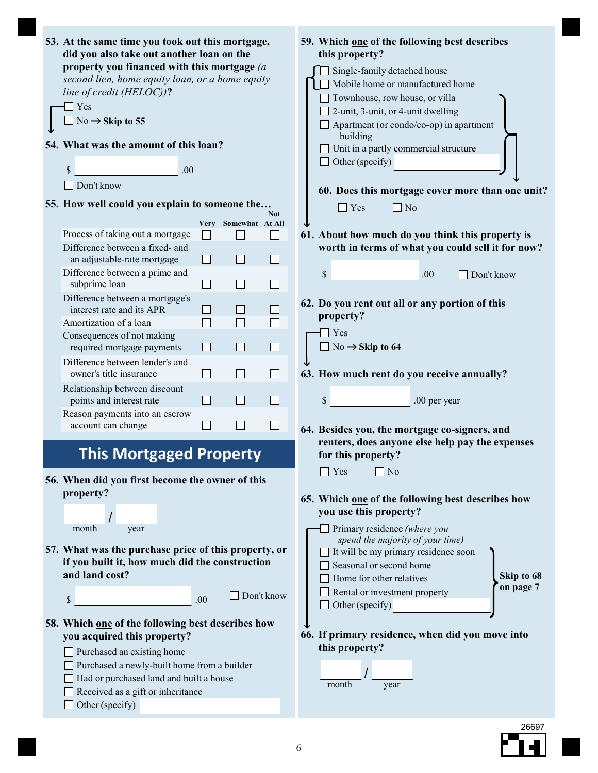| 53. At the same time you took out this mortgage,<br>did you also take out another loan on the<br>property you financed with this mortgage (a<br>second lien, home equity loan, or a home equity<br>line of credit (HELOC))?<br>$\Box$ Yes<br>$\Box$ No → Skip to 55<br>54. What was the amount of this loan?<br>\$<br>.00<br>$\Box$ Don't know<br>55. How well could you explain to someone the |                              |                             |              | 59. Which one of the following best describes<br>this property?<br>Single-family detached house<br>Mobile home or manufactured home<br>□ Townhouse, row house, or villa<br>$\Box$ 2-unit, 3-unit, or 4-unit dwelling<br>$\Box$ Apartment (or condo/co-op) in apartment<br>building<br>Unit in a partly commercial structure<br>Other (specify)<br>60. Does this mortgage cover more than one unit?<br>Yes<br>  No |
|-------------------------------------------------------------------------------------------------------------------------------------------------------------------------------------------------------------------------------------------------------------------------------------------------------------------------------------------------------------------------------------------------|------------------------------|-----------------------------|--------------|-------------------------------------------------------------------------------------------------------------------------------------------------------------------------------------------------------------------------------------------------------------------------------------------------------------------------------------------------------------------------------------------------------------------|
|                                                                                                                                                                                                                                                                                                                                                                                                 |                              |                             | <b>Not</b>   |                                                                                                                                                                                                                                                                                                                                                                                                                   |
| Process of taking out a mortgage                                                                                                                                                                                                                                                                                                                                                                |                              | Very Somewhat At All        | $\mathsf{L}$ |                                                                                                                                                                                                                                                                                                                                                                                                                   |
| Difference between a fixed- and<br>an adjustable-rate mortgage                                                                                                                                                                                                                                                                                                                                  | $\mathbf{I}$<br>$\mathsf{L}$ | $\blacksquare$<br>H         | $\mathsf{L}$ | 61. About how much do you think this property is<br>worth in terms of what you could sell it for now?                                                                                                                                                                                                                                                                                                             |
| Difference between a prime and<br>subprime loan                                                                                                                                                                                                                                                                                                                                                 | $\Box$                       | $\Box$                      | $\sim$       | $\boldsymbol{\mathsf{S}}$<br>.00<br>Don't know                                                                                                                                                                                                                                                                                                                                                                    |
| Difference between a mortgage's<br>interest rate and its APR                                                                                                                                                                                                                                                                                                                                    |                              | $\mathcal{L}_{\mathcal{A}}$ |              | 62. Do you rent out all or any portion of this<br>property?                                                                                                                                                                                                                                                                                                                                                       |
| Amortization of a loan                                                                                                                                                                                                                                                                                                                                                                          | $\Box$                       | $\Box$                      | $\Box$       | $\exists$ Yes                                                                                                                                                                                                                                                                                                                                                                                                     |
| Consequences of not making<br>required mortgage payments                                                                                                                                                                                                                                                                                                                                        | H                            | $\Box$                      | $\Box$       | $\Box$ No $\rightarrow$ Skip to 64                                                                                                                                                                                                                                                                                                                                                                                |
| Difference between lender's and<br>owner's title insurance                                                                                                                                                                                                                                                                                                                                      | $\mathsf{L}$                 | $\Box$                      | $\Box$       | 63. How much rent do you receive annually?                                                                                                                                                                                                                                                                                                                                                                        |
| Relationship between discount<br>points and interest rate                                                                                                                                                                                                                                                                                                                                       | H.                           | I.                          |              | $\mathbb{S}$<br>.00 per year                                                                                                                                                                                                                                                                                                                                                                                      |
| Reason payments into an escrow<br>account can change                                                                                                                                                                                                                                                                                                                                            | $\Box$                       | $\Box$                      | ⊔            | 64. Besides you, the mortgage co-signers, and                                                                                                                                                                                                                                                                                                                                                                     |
| <b>This Mortgaged Property</b>                                                                                                                                                                                                                                                                                                                                                                  |                              |                             |              | renters, does anyone else help pay the expenses<br>for this property?                                                                                                                                                                                                                                                                                                                                             |
| 56. When did you first become the owner of this                                                                                                                                                                                                                                                                                                                                                 |                              |                             |              | Yes<br>No                                                                                                                                                                                                                                                                                                                                                                                                         |
| property?                                                                                                                                                                                                                                                                                                                                                                                       |                              |                             |              | 65. Which one of the following best describes how<br>you use this property?                                                                                                                                                                                                                                                                                                                                       |
| year<br>month                                                                                                                                                                                                                                                                                                                                                                                   |                              |                             |              | Primary residence (where you                                                                                                                                                                                                                                                                                                                                                                                      |
| 57. What was the purchase price of this property, or<br>if you built it, how much did the construction<br>and land cost?                                                                                                                                                                                                                                                                        |                              |                             |              | spend the majority of your time)<br>$\Box$ It will be my primary residence soon<br>Seasonal or second home<br>Skip to 68<br>Home for other relatives<br>on page 7                                                                                                                                                                                                                                                 |
| \$                                                                                                                                                                                                                                                                                                                                                                                              | .00                          |                             | Don't know   | Rental or investment property<br>Other (specify)                                                                                                                                                                                                                                                                                                                                                                  |
| 58. Which one of the following best describes how                                                                                                                                                                                                                                                                                                                                               |                              |                             |              |                                                                                                                                                                                                                                                                                                                                                                                                                   |
| you acquired this property?                                                                                                                                                                                                                                                                                                                                                                     |                              |                             |              | 66. If primary residence, when did you move into                                                                                                                                                                                                                                                                                                                                                                  |
| Purchased an existing home                                                                                                                                                                                                                                                                                                                                                                      |                              |                             |              | this property?                                                                                                                                                                                                                                                                                                                                                                                                    |
| Purchased a newly-built home from a builder                                                                                                                                                                                                                                                                                                                                                     |                              |                             |              |                                                                                                                                                                                                                                                                                                                                                                                                                   |
| Had or purchased land and built a house                                                                                                                                                                                                                                                                                                                                                         |                              |                             |              | month<br>year                                                                                                                                                                                                                                                                                                                                                                                                     |
| Received as a gift or inheritance                                                                                                                                                                                                                                                                                                                                                               |                              |                             |              |                                                                                                                                                                                                                                                                                                                                                                                                                   |
| Other (specify)                                                                                                                                                                                                                                                                                                                                                                                 |                              |                             |              |                                                                                                                                                                                                                                                                                                                                                                                                                   |

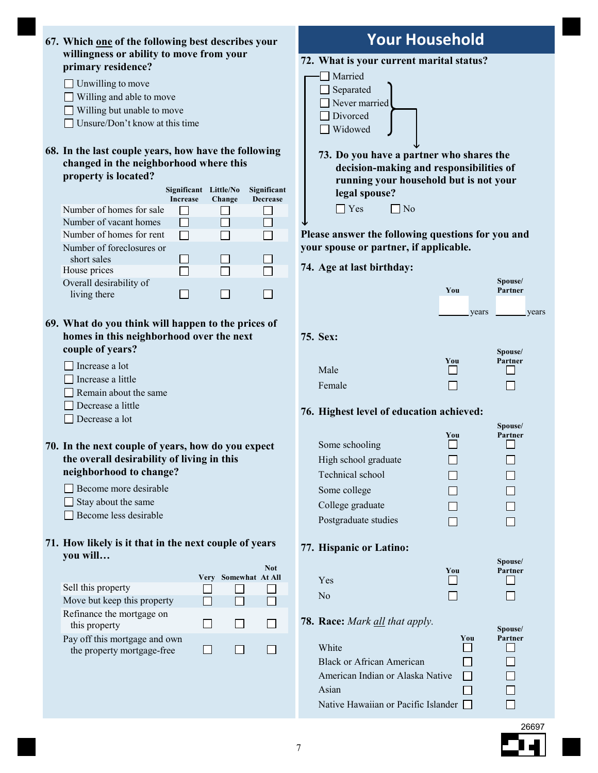| 67. Which one of the following best describes your             |                                 |                                | <b>Your Household</b>                             |        |                    |
|----------------------------------------------------------------|---------------------------------|--------------------------------|---------------------------------------------------|--------|--------------------|
| willingness or ability to move from your<br>primary residence? |                                 |                                | 72. What is your current marital status?          |        |                    |
|                                                                |                                 |                                | Married                                           |        |                    |
| $\Box$ Unwilling to move                                       |                                 |                                | Separated                                         |        |                    |
| Willing and able to move                                       |                                 |                                | Never married                                     |        |                    |
| Willing but unable to move                                     |                                 |                                | Divorced                                          |        |                    |
| Unsure/Don't know at this time                                 |                                 |                                | Widowed                                           |        |                    |
| 68. In the last couple years, how have the following           |                                 |                                | 73. Do you have a partner who shares the          |        |                    |
| changed in the neighborhood where this                         |                                 |                                | decision-making and responsibilities of           |        |                    |
| property is located?                                           |                                 |                                | running your household but is not your            |        |                    |
| Increase                                                       | Significant Little/No<br>Change | Significant<br><b>Decrease</b> | legal spouse?                                     |        |                    |
| Number of homes for sale                                       |                                 |                                | $\Box$ Yes<br>$\Box$ No                           |        |                    |
| Number of vacant homes                                         |                                 |                                |                                                   |        |                    |
| Number of homes for rent<br>П                                  |                                 |                                | Please answer the following questions for you and |        |                    |
| Number of foreclosures or                                      |                                 |                                | your spouse or partner, if applicable.            |        |                    |
| short sales<br>$\sim$                                          | H                               |                                | 74. Age at last birthday:                         |        |                    |
| House prices<br>$\sim$<br>Overall desirability of              |                                 |                                |                                                   |        | Spouse/            |
| living there<br>$\overline{\phantom{a}}$                       | ΙI                              | $\mathsf{L}$                   |                                                   | You    | Partner            |
|                                                                |                                 |                                |                                                   | years  | years              |
| 69. What do you think will happen to the prices of             |                                 |                                |                                                   |        |                    |
| homes in this neighborhood over the next<br>couple of years?   |                                 |                                | 75. Sex:                                          |        |                    |
|                                                                |                                 |                                |                                                   | You    | Spouse/<br>Partner |
| Increase a lot                                                 |                                 |                                | Male                                              |        |                    |
| Increase a little                                              |                                 |                                | Female                                            |        |                    |
| Remain about the same                                          |                                 |                                |                                                   |        |                    |
| Decrease a little                                              |                                 |                                | 76. Highest level of education achieved:          |        |                    |
| Decrease a lot                                                 |                                 |                                |                                                   |        | Spouse/            |
|                                                                |                                 |                                |                                                   | You    | Partner            |
| 70. In the next couple of years, how do you expect             |                                 |                                | Some schooling                                    |        |                    |
| the overall desirability of living in this                     |                                 |                                | High school graduate                              |        |                    |
| neighborhood to change?                                        |                                 |                                | Technical school                                  |        |                    |
| Become more desirable                                          |                                 |                                | Some college                                      |        |                    |
| Stay about the same                                            |                                 |                                | College graduate                                  |        |                    |
| Become less desirable                                          |                                 |                                | Postgraduate studies                              |        |                    |
| 71. How likely is it that in the next couple of years          |                                 |                                |                                                   |        |                    |
| you will                                                       |                                 |                                | 77. Hispanic or Latino:                           |        |                    |
|                                                                |                                 | <b>Not</b>                     |                                                   | You    | Spouse/<br>Partner |
| Sell this property                                             |                                 | Very Somewhat At All           | Yes                                               |        |                    |
| Move but keep this property                                    |                                 |                                | No                                                |        |                    |
| Refinance the mortgage on                                      |                                 |                                |                                                   |        |                    |
| this property                                                  | $\mathcal{L}_{\mathcal{A}}$     | ΙI                             | 78. Race: Mark all that apply.                    |        |                    |
| Pay off this mortgage and own                                  |                                 |                                |                                                   | You    | Spouse/<br>Partner |
| the property mortgage-free                                     | $\Box$                          | H<br>$\Box$                    | White                                             |        |                    |
|                                                                |                                 |                                | <b>Black or African American</b>                  |        |                    |
|                                                                |                                 |                                | American Indian or Alaska Native                  | $\Box$ |                    |
|                                                                |                                 |                                | Asian                                             |        |                    |
|                                                                |                                 |                                | Native Hawaiian or Pacific Islander [             |        |                    |
|                                                                |                                 |                                |                                                   |        | 26697              |
|                                                                |                                 |                                |                                                   |        |                    |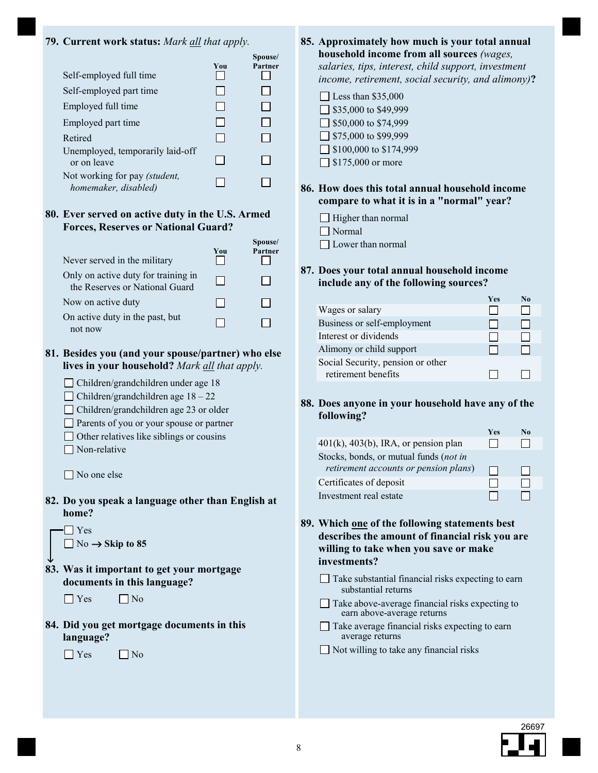#### **79. Current work status:** *Mark all that apply.*

|                                                       |     | Spouse/ |
|-------------------------------------------------------|-----|---------|
| Self-employed full time                               | You | Partner |
| Self-employed part time                               |     |         |
| Employed full time                                    |     |         |
| Employed part time                                    |     |         |
| Retired                                               |     |         |
| Unemployed, temporarily laid-off<br>or on leave       |     |         |
| Not working for pay (student,<br>homemaker, disabled) |     |         |
|                                                       |     |         |

#### **80. Ever served on active duty in the U.S. Armed Forces, Reserves or National Guard?**

| Never served in the military                                          | You | Spouse/<br>Partner |
|-----------------------------------------------------------------------|-----|--------------------|
| Only on active duty for training in<br>the Reserves or National Guard |     |                    |
| Now on active duty                                                    |     |                    |
| On active duty in the past, but<br>not now                            |     |                    |

#### **Besides you (and your spouse/partner) who else 81. lives in your household?** *Mark all that apply.*

| □ Children/grandchildren under age 18         |
|-----------------------------------------------|
| $\Box$ Children/grandchildren age $18-22$     |
| $\Box$ Children/grondebildren age 22 or older |

- Children/grandchildren age 23 or older Parents of you or your spouse or partner
- Other relatives like siblings or cousins
- Non-relative

 $\Box$  No one else

**82. Do you speak a language other than English at home?** 

 $\blacksquare$  Yes No  $\rightarrow$  Skip to 85

**83. Was it important to get your mortgage documents in this language?**   $\downarrow$ 

 $\Box$  Yes  $\Box$  No

**84. Did you get mortgage documents in this language?** 

 $\Box$  Yes  $\Box$  No

- **Approximately how much is your total annual 85. household income from all sources** *(wages, salaries, tips, interest, child support, investment income, retirement, social security, and alimony)***?** 
	- $\Box$  Less than \$35,000  $\Box$  \$35,000 to \$49,999  $\Box$  \$50,000 to \$74,999  $\Box$  \$75,000 to \$99,999 ■ \$100,000 to \$174,999 □ \$175,000 or more
- **How does this total annual household income 86. compare to what it is in a "normal" year?**
	- $\Box$  Higher than normal
	- Normal

□ Lower than normal

#### **87. Does your total annual household income include any of the following sources?**

|                                   | <b>Yes</b> | N٥ |
|-----------------------------------|------------|----|
| Wages or salary                   |            |    |
| Business or self-employment       |            |    |
| Interest or dividends             |            |    |
| Alimony or child support          |            |    |
| Social Security, pension or other |            |    |
| retirement benefits               |            |    |
|                                   |            |    |

#### **88. Does anyone in your household have any of the following?**

|                                            | Yes | N٥ |
|--------------------------------------------|-----|----|
| $401(k)$ , $403(b)$ , IRA, or pension plan |     |    |
| Stocks, bonds, or mutual funds (not in     |     |    |
| retirement accounts or pension plans)      |     |    |
| Certificates of deposit                    |     |    |
| Investment real estate                     |     |    |

- **89. Which one of the following statements best describes the amount of financial risk you are willing to take when you save or make investments?**
	- $\Box$  Take substantial financial risks expecting to earn substantial returns
	- $\Box$  Take above-average financial risks expecting to earn above-average returns
	- $\Box$  Take average financial risks expecting to earn average returns
	- Not willing to take any financial risks

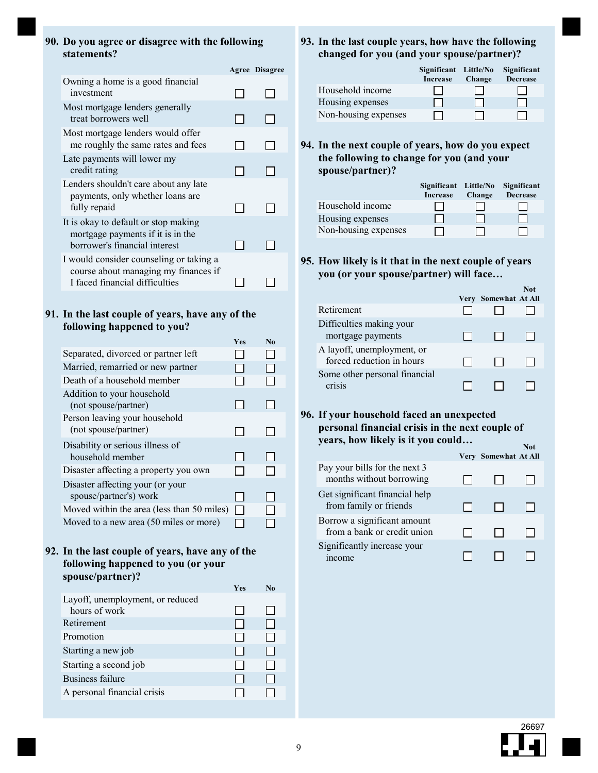#### **Do you agree or disagree with the following 90. statements?**

|                                                                                                                   | <b>Agree Disagree</b> |
|-------------------------------------------------------------------------------------------------------------------|-----------------------|
| Owning a home is a good financial<br>investment                                                                   |                       |
| Most mortgage lenders generally<br>treat borrowers well                                                           |                       |
| Most mortgage lenders would offer<br>me roughly the same rates and fees                                           |                       |
| Late payments will lower my<br>credit rating                                                                      |                       |
| Lenders shouldn't care about any late<br>payments, only whether loans are<br>fully repaid                         |                       |
| It is okay to default or stop making<br>mortgage payments if it is in the<br>borrower's financial interest        |                       |
| I would consider counseling or taking a<br>course about managing my finances if<br>I faced financial difficulties |                       |

#### **91. In the last couple of years, have any of the following happened to you?**

| Yes | N <sub>0</sub> |
|-----|----------------|
|     |                |
|     |                |
|     |                |
|     |                |
|     |                |
|     |                |
|     |                |
|     |                |
|     |                |
|     |                |
|     |                |
|     |                |
|     |                |
|     |                |
|     |                |

#### **In the last couple of years, have any of the 92. following happened to you (or your spouse/partner)?**

| Yes | N <sub>0</sub> |
|-----|----------------|
|     |                |
|     |                |
|     |                |
|     |                |
|     |                |
|     |                |
|     |                |
|     |                |
|     |                |

#### **93. In the last couple years, how have the following changed for you (and your spouse/partner)?**

|                      | Significant Little/No<br><b>Increase</b> | Change | Significant<br><b>Decrease</b> |
|----------------------|------------------------------------------|--------|--------------------------------|
| Household income     |                                          |        |                                |
| Housing expenses     |                                          |        |                                |
| Non-housing expenses |                                          |        |                                |

**In the next couple of years, how do you expect 94. the following to change for you (and your spouse/partner)?**

|                      | Significant Little/No<br><b>Increase</b> | Change | Significant<br><b>Decrease</b> |
|----------------------|------------------------------------------|--------|--------------------------------|
| Household income     |                                          |        |                                |
| Housing expenses     |                                          |        |                                |
| Non-housing expenses |                                          |        |                                |

**How likely is it that in the next couple of years 95. you (or your spouse/partner) will face…**

|                                                         | Very | Somewhat At All | $\cdots$ |
|---------------------------------------------------------|------|-----------------|----------|
| Retirement                                              |      |                 |          |
| Difficulties making your<br>mortgage payments           |      |                 |          |
| A layoff, unemployment, or<br>forced reduction in hours |      |                 |          |
| Some other personal financial<br>CT1S1S                 |      |                 |          |

#### **If your household faced an unexpected 96. personal financial crisis in the next couple of years, how likely is it you could…**

|                                                            |                      | Not |
|------------------------------------------------------------|----------------------|-----|
|                                                            | Very Somewhat At All |     |
| Pay your bills for the next 3<br>months without borrowing  |                      |     |
| Get significant financial help<br>from family or friends   |                      |     |
| Borrow a significant amount<br>from a bank or credit union |                      |     |
| Significantly increase your<br><i>ncome</i>                |                      |     |



**Not**